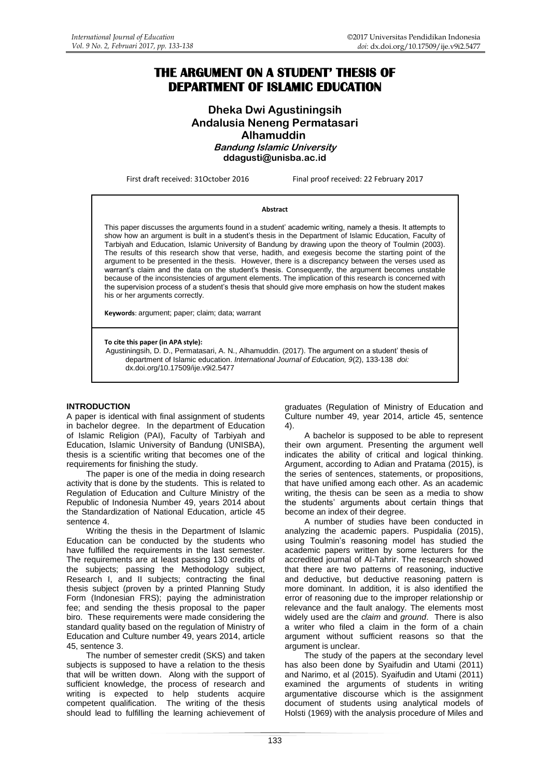# **THE ARGUMENT ON A STUDENT' THESIS OF DEPARTMENT OF ISLAMIC EDUCATION**

# **Dheka Dwi Agustiningsih Andalusia Neneng Permatasari Alhamuddin Bandung Islamic University ddagusti@unisba.ac.id**

First draft received: 31October 2016 Final proof received: 22 February 2017

#### **Abstract**

This paper discusses the arguments found in a student' academic writing, namely a thesis. It attempts to show how an argument is built in a student's thesis in the Department of Islamic Education, Faculty of Tarbiyah and Education, Islamic University of Bandung by drawing upon the theory of Toulmin (2003). The results of this research show that verse, hadith, and exegesis become the starting point of the argument to be presented in the thesis. However, there is a discrepancy between the verses used as warrant's claim and the data on the student's thesis. Consequently, the argument becomes unstable because of the inconsistencies of argument elements. The implication of this research is concerned with the supervision process of a student's thesis that should give more emphasis on how the student makes his or her arguments correctly.

**Keywords**: argument; paper; claim; data; warrant

**To cite this paper (in APA style):**

Agustiningsih, D. D., Permatasari, A. N., Alhamuddin. (2017). The argument on a student' thesis of department of Islamic education. *International Journal of Education, 9*(2), 133-138 *doi:*  [dx.doi.org/10.17509/ije.v9i2.5477](http://dx.doi.org/10.17509/ije.v9i2.5477)

#### **INTRODUCTION**

A paper is identical with final assignment of students in bachelor degree. In the department of Education of Islamic Religion (PAI), Faculty of Tarbiyah and Education, Islamic University of Bandung (UNISBA), thesis is a scientific writing that becomes one of the requirements for finishing the study.

The paper is one of the media in doing research activity that is done by the students. This is related to Regulation of Education and Culture Ministry of the Republic of Indonesia Number 49, years 2014 about the Standardization of National Education, article 45 sentence 4.

Writing the thesis in the Department of Islamic Education can be conducted by the students who have fulfilled the requirements in the last semester. The requirements are at least passing 130 credits of the subjects; passing the Methodology subject, Research I, and II subjects; contracting the final thesis subject (proven by a printed Planning Study Form (Indonesian FRS); paying the administration fee; and sending the thesis proposal to the paper biro. These requirements were made considering the standard quality based on the regulation of Ministry of Education and Culture number 49, years 2014, article 45, sentence 3.

The number of semester credit (SKS) and taken subjects is supposed to have a relation to the thesis that will be written down. Along with the support of sufficient knowledge, the process of research and writing is expected to help students acquire competent qualification. The writing of the thesis should lead to fulfilling the learning achievement of

graduates (Regulation of Ministry of Education and Culture number 49, year 2014, article 45, sentence 4).

A bachelor is supposed to be able to represent their own argument. Presenting the argument well indicates the ability of critical and logical thinking. Argument, according to Adian and Pratama (2015), is the series of sentences, statements, or propositions, that have unified among each other. As an academic writing, the thesis can be seen as a media to show the students' arguments about certain things that become an index of their degree.

A number of studies have been conducted in analyzing the academic papers. Puspidalia (2015), using Toulmin's reasoning model has studied the academic papers written by some lecturers for the accredited journal of Al-Tahrir. The research showed that there are two patterns of reasoning, inductive and deductive, but deductive reasoning pattern is more dominant. In addition, it is also identified the error of reasoning due to the improper relationship or relevance and the fault analogy. The elements most widely used are the *claim* and *ground*. There is also a writer who filed a claim in the form of a chain argument without sufficient reasons so that the argument is unclear.

The study of the papers at the secondary level has also been done by Syaifudin and Utami (2011) and Narimo, et al (2015). Syaifudin and Utami (2011) examined the arguments of students in writing argumentative discourse which is the assignment document of students using analytical models of Holsti (1969) with the analysis procedure of Miles and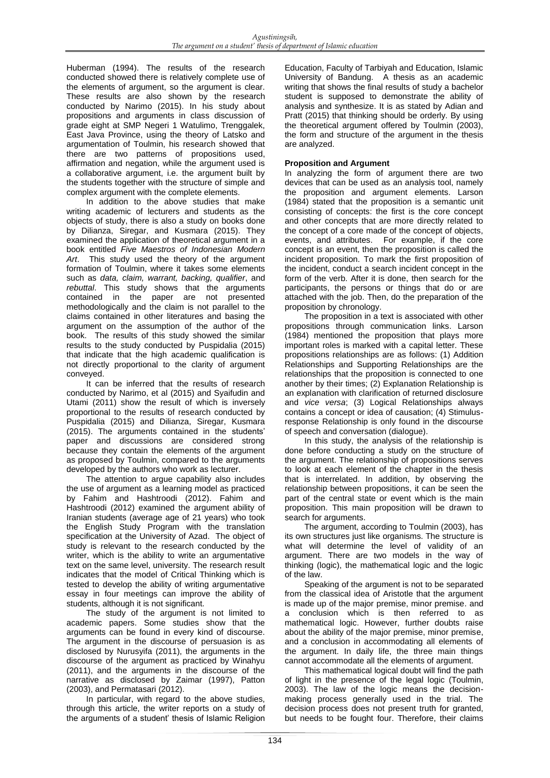Huberman (1994). The results of the research conducted showed there is relatively complete use of the elements of argument, so the argument is clear. These results are also shown by the research conducted by Narimo (2015). In his study about propositions and arguments in class discussion of grade eight at SMP Negeri 1 Watulimo, Trenggalek, East Java Province, using the theory of Latsko and argumentation of Toulmin, his research showed that there are two patterns of propositions used, affirmation and negation, while the argument used is a collaborative argument, i.e. the argument built by the students together with the structure of simple and complex argument with the complete elements.

In addition to the above studies that make writing academic of lecturers and students as the objects of study, there is also a study on books done by Dilianza, Siregar, and Kusmara (2015). They examined the application of theoretical argument in a book entitled *Five Maestros of Indonesian Modern Art*. This study used the theory of the argument formation of Toulmin, where it takes some elements such as *data, claim, warrant, backing, qualifier*, and *rebuttal*. This study shows that the arguments contained in the paper are not presented methodologically and the claim is not parallel to the claims contained in other literatures and basing the argument on the assumption of the author of the book. The results of this study showed the similar results to the study conducted by Puspidalia (2015) that indicate that the high academic qualification is not directly proportional to the clarity of argument conveyed.

It can be inferred that the results of research conducted by Narimo, et al (2015) and Syaifudin and Utami (2011) show the result of which is inversely proportional to the results of research conducted by Puspidalia (2015) and Dilianza, Siregar, Kusmara (2015). The arguments contained in the students' paper and discussions are considered strong because they contain the elements of the argument as proposed by Toulmin, compared to the arguments developed by the authors who work as lecturer.

The attention to argue capability also includes the use of argument as a learning model as practiced by Fahim and Hashtroodi (2012). Fahim and Hashtroodi (2012) examined the argument ability of Iranian students (average age of 21 years) who took the English Study Program with the translation specification at the University of Azad. The object of study is relevant to the research conducted by the writer, which is the ability to write an argumentative text on the same level, university. The research result indicates that the model of Critical Thinking which is tested to develop the ability of writing argumentative essay in four meetings can improve the ability of students, although it is not significant.

The study of the argument is not limited to academic papers. Some studies show that the arguments can be found in every kind of discourse. The argument in the discourse of persuasion is as disclosed by Nurusyifa (2011), the arguments in the discourse of the argument as practiced by Winahyu (2011), and the arguments in the discourse of the narrative as disclosed by Zaimar (1997), Patton (2003), and Permatasari (2012).

In particular, with regard to the above studies, through this article, the writer reports on a study of the arguments of a student' thesis of Islamic Religion

Education, Faculty of Tarbiyah and Education, Islamic University of Bandung. A thesis as an academic writing that shows the final results of study a bachelor student is supposed to demonstrate the ability of analysis and synthesize. It is as stated by Adian and Pratt (2015) that thinking should be orderly. By using the theoretical argument offered by Toulmin (2003), the form and structure of the argument in the thesis are analyzed.

# **Proposition and Argument**

In analyzing the form of argument there are two devices that can be used as an analysis tool, namely the proposition and argument elements. Larson (1984) stated that the proposition is a semantic unit consisting of concepts: the first is the core concept and other concepts that are more directly related to the concept of a core made of the concept of objects, events, and attributes. For example, if the core concept is an event, then the proposition is called the incident proposition. To mark the first proposition of the incident, conduct a search incident concept in the form of the verb. After it is done, then search for the participants, the persons or things that do or are attached with the job. Then, do the preparation of the proposition by chronology.

The proposition in a text is associated with other propositions through communication links. Larson (1984) mentioned the proposition that plays more important roles is marked with a capital letter. These propositions relationships are as follows: (1) Addition Relationships and Supporting Relationships are the relationships that the proposition is connected to one another by their times; (2) Explanation Relationship is an explanation with clarification of returned disclosure and *vice versa*; (3) Logical Relationships always contains a concept or idea of causation; (4) Stimulusresponse Relationship is only found in the discourse of speech and conversation (dialogue).

In this study, the analysis of the relationship is done before conducting a study on the structure of the argument. The relationship of propositions serves to look at each element of the chapter in the thesis that is interrelated. In addition, by observing the relationship between propositions, it can be seen the part of the central state or event which is the main proposition. This main proposition will be drawn to search for arguments.

The argument, according to Toulmin (2003), has its own structures just like organisms. The structure is what will determine the level of validity of an argument. There are two models in the way of thinking (logic), the mathematical logic and the logic of the law.

Speaking of the argument is not to be separated from the classical idea of Aristotle that the argument is made up of the major premise, minor premise. and a conclusion which is then referred to as mathematical logic. However, further doubts raise about the ability of the major premise, minor premise, and a conclusion in accommodating all elements of the argument. In daily life, the three main things cannot accommodate all the elements of argument.

This mathematical logical doubt will find the path of light in the presence of the legal logic (Toulmin, 2003). The law of the logic means the decisionmaking process generally used in the trial. The decision process does not present truth for granted, but needs to be fought four. Therefore, their claims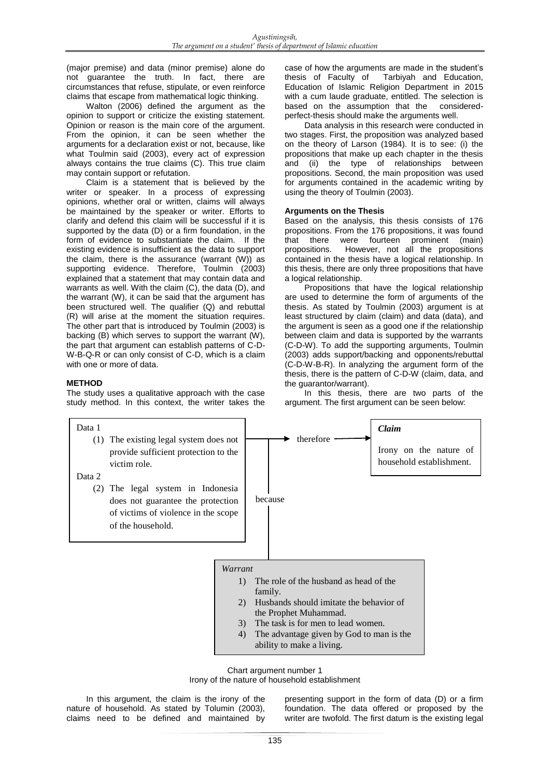(major premise) and data (minor premise) alone do not guarantee the truth. In fact, there are circumstances that refuse, stipulate, or even reinforce claims that escape from mathematical logic thinking.

Walton (2006) defined the argument as the opinion to support or criticize the existing statement. Opinion or reason is the main core of the argument. From the opinion, it can be seen whether the arguments for a declaration exist or not, because, like what Toulmin said (2003), every act of expression always contains the true claims (C). This true claim may contain support or refutation.

Claim is a statement that is believed by the writer or speaker. In a process of expressing opinions, whether oral or written, claims will always be maintained by the speaker or writer. Efforts to clarify and defend this claim will be successful if it is supported by the data (D) or a firm foundation, in the form of evidence to substantiate the claim. If the existing evidence is insufficient as the data to support the claim, there is the assurance (warrant (W)) as supporting evidence. Therefore, Toulmin (2003) explained that a statement that may contain data and warrants as well. With the claim (C), the data (D), and the warrant (W), it can be said that the argument has been structured well. The qualifier (Q) and rebuttal (R) will arise at the moment the situation requires. The other part that is introduced by Toulmin (2003) is backing (B) which serves to support the warrant (W), the part that argument can establish patterns of C-D-W-B-Q-R or can only consist of C-D, which is a claim with one or more of data.

# **METHOD**

The study uses a qualitative approach with the case study method. In this context, the writer takes the case of how the arguments are made in the student's<br>thesis of Faculty of Tarbiyah and Education, Tarbiyah and Education, Education of Islamic Religion Department in 2015 with a cum laude graduate, entitled. The selection is based on the assumption that the consideredperfect-thesis should make the arguments well.

Data analysis in this research were conducted in two stages. First, the proposition was analyzed based on the theory of Larson (1984). It is to see: (i) the propositions that make up each chapter in the thesis and (ii) the type of relationships between propositions. Second, the main proposition was used for arguments contained in the academic writing by using the theory of Toulmin (2003).

# **Arguments on the Thesis**

Based on the analysis, this thesis consists of 176 propositions. From the 176 propositions, it was found that there were fourteen prominent (main)<br>propositions. However, not all the propositions However, not all the propositions contained in the thesis have a logical relationship. In this thesis, there are only three propositions that have a logical relationship.

Propositions that have the logical relationship are used to determine the form of arguments of the thesis. As stated by Toulmin (2003) argument is at least structured by claim (claim) and data (data), and the argument is seen as a good one if the relationship between claim and data is supported by the warrants (C-D-W). To add the supporting arguments, Toulmin (2003) adds support/backing and opponents/rebuttal (C-D-W-B-R). In analyzing the argument form of the thesis, there is the pattern of C-D-W (claim, data, and the guarantor/warrant).

In this thesis, there are two parts of the argument. The first argument can be seen below:



Chart argument number 1 Irony of the nature of household establishment

In this argument, the claim is the irony of the nature of household. As stated by Tolumin (2003), claims need to be defined and maintained by

presenting support in the form of data (D) or a firm foundation. The data offered or proposed by the writer are twofold. The first datum is the existing legal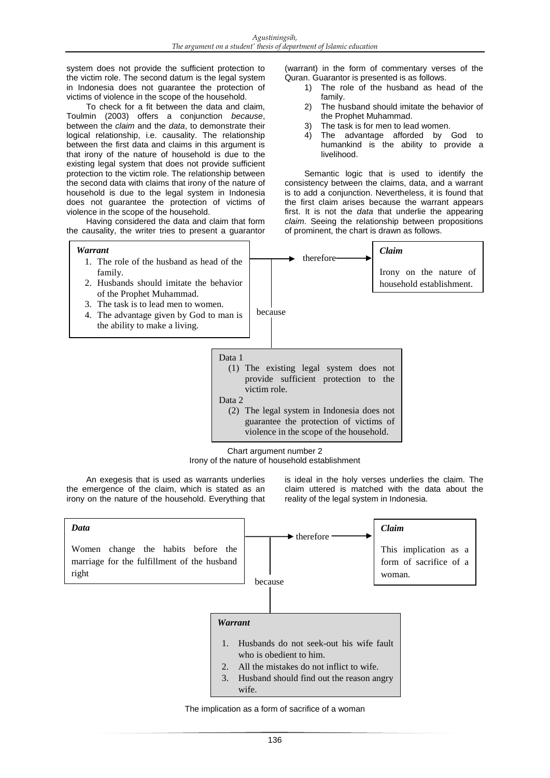system does not provide the sufficient protection to the victim role. The second datum is the legal system in Indonesia does not guarantee the protection of victims of violence in the scope of the household.

To check for a fit between the data and claim, Toulmin (2003) offers a conjunction *because*, between the *claim* and the *data*, to demonstrate their logical relationship, i.e. causality. The relationship between the first data and claims in this argument is that irony of the nature of household is due to the existing legal system that does not provide sufficient protection to the victim role. The relationship between the second data with claims that irony of the nature of household is due to the legal system in Indonesia does not guarantee the protection of victims of violence in the scope of the household.

Having considered the data and claim that form the causality, the writer tries to present a guarantor (warrant) in the form of commentary verses of the Quran. Guarantor is presented is as follows.

- 1) The role of the husband as head of the family.
- 2) The husband should imitate the behavior of the Prophet Muhammad.
- 3) The task is for men to lead women.<br>4) The advantage afforded by
- The advantage afforded by God to humankind is the ability to provide a livelihood.

Semantic logic that is used to identify the consistency between the claims, data, and a warrant is to add a conjunction. Nevertheless, it is found that the first claim arises because the warrant appears first. It is not the *data* that underlie the appearing *claim*. Seeing the relationship between propositions of prominent, the chart is drawn as follows.



Chart argument number 2

Irony of the nature of household establishment

An exegesis that is used as warrants underlies the emergence of the claim, which is stated as an irony on the nature of the household. Everything that is ideal in the holy verses underlies the claim. The claim uttered is matched with the data about the reality of the legal system in Indonesia.



The implication as a form of sacrifice of a woman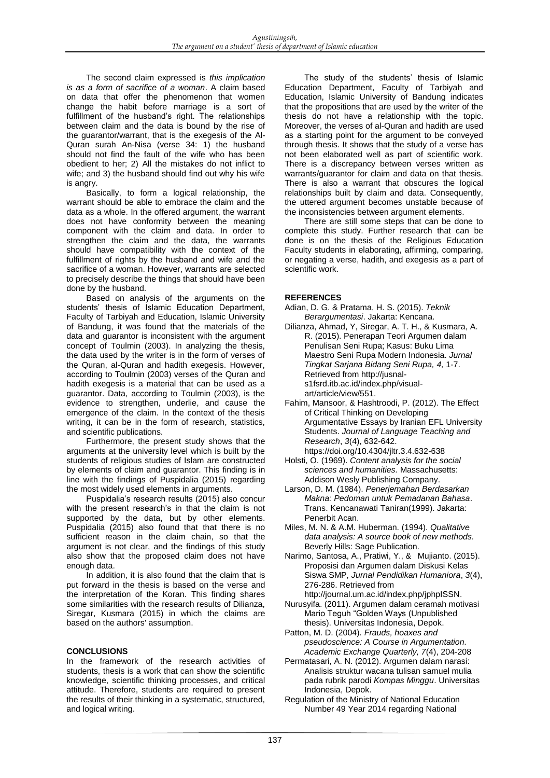The second claim expressed is *this implication is as a form of sacrifice of a woman*. A claim based on data that offer the phenomenon that women change the habit before marriage is a sort of fulfillment of the husband's right. The relationships between claim and the data is bound by the rise of the guarantor/warrant, that is the exegesis of the Al-Quran surah An-Nisa (verse 34: 1) the husband should not find the fault of the wife who has been obedient to her; 2) All the mistakes do not inflict to wife; and 3) the husband should find out why his wife is angry.

Basically, to form a logical relationship, the warrant should be able to embrace the claim and the data as a whole. In the offered argument, the warrant does not have conformity between the meaning component with the claim and data. In order to strengthen the claim and the data, the warrants should have compatibility with the context of the fulfillment of rights by the husband and wife and the sacrifice of a woman. However, warrants are selected to precisely describe the things that should have been done by the husband.

Based on analysis of the arguments on the students' thesis of Islamic Education Department, Faculty of Tarbiyah and Education, Islamic University of Bandung, it was found that the materials of the data and guarantor is inconsistent with the argument concept of Toulmin (2003). In analyzing the thesis, the data used by the writer is in the form of verses of the Quran, al-Quran and hadith exegesis. However, according to Toulmin (2003) verses of the Quran and hadith exegesis is a material that can be used as a guarantor. Data, according to Toulmin (2003), is the evidence to strengthen, underlie, and cause the emergence of the claim. In the context of the thesis writing, it can be in the form of research, statistics, and scientific publications.

Furthermore, the present study shows that the arguments at the university level which is built by the students of religious studies of Islam are constructed by elements of claim and guarantor. This finding is in line with the findings of Puspidalia (2015) regarding the most widely used elements in arguments.

Puspidalia's research results (2015) also concur with the present research's in that the claim is not supported by the data, but by other elements. Puspidalia (2015) also found that that there is no sufficient reason in the claim chain, so that the argument is not clear, and the findings of this study also show that the proposed claim does not have enough data.

In addition, it is also found that the claim that is put forward in the thesis is based on the verse and the interpretation of the Koran. This finding shares some similarities with the research results of Dilianza, Siregar, Kusmara (2015) in which the claims are based on the authors' assumption.

# **CONCLUSIONS**

In the framework of the research activities of students, thesis is a work that can show the scientific knowledge, scientific thinking processes, and critical attitude. Therefore, students are required to present the results of their thinking in a systematic, structured, and logical writing.

The study of the students' thesis of Islamic Education Department, Faculty of Tarbiyah and Education, Islamic University of Bandung indicates that the propositions that are used by the writer of the thesis do not have a relationship with the topic. Moreover, the verses of al-Quran and hadith are used as a starting point for the argument to be conveyed through thesis. It shows that the study of a verse has not been elaborated well as part of scientific work. There is a discrepancy between verses written as warrants/guarantor for claim and data on that thesis. There is also a warrant that obscures the logical relationships built by claim and data. Consequently, the uttered argument becomes unstable because of the inconsistencies between argument elements.

There are still some steps that can be done to complete this study. Further research that can be done is on the thesis of the Religious Education Faculty students in elaborating, affirming, comparing, or negating a verse, hadith, and exegesis as a part of scientific work.

# **REFERENCES**

- Adian, D. G. & Pratama, H. S. (2015). *Teknik Berargumentasi*. Jakarta: Kencana.
- Dilianza, Ahmad, Y, Siregar, A. T. H., & Kusmara, A. R. (2015). Penerapan Teori Argumen dalam Penulisan Seni Rupa; Kasus: Buku Lima Maestro Seni Rupa Modern Indonesia. *Jurnal Tingkat Sarjana Bidang Seni Rupa, 4,* 1-7. Retrieved from [http://jusnal](http://jusnal-s1fsrd.itb.ac.id/index.php/visual-art/article/view/551)[s1fsrd.itb.ac.id/index.php/visual](http://jusnal-s1fsrd.itb.ac.id/index.php/visual-art/article/view/551)[art/article/view/551.](http://jusnal-s1fsrd.itb.ac.id/index.php/visual-art/article/view/551)
- Fahim, Mansoor, & Hashtroodi, P. (2012). The Effect of Critical Thinking on Developing Argumentative Essays by Iranian EFL University Students. *Journal of Language Teaching and Research*, *3*(4), 632-642. [https://doi.org/10.4304/jltr.3.4.632-6](https://doi.org/10.4304/jltr.3.4.632-)38
- Holsti, O. (1969). *Content analysis for the social sciences and humanities.* Massachusetts: Addison Wesly Publishing Company.
- Larson, D. M. (1984). *Penerjemahan Berdasarkan Makna: Pedoman untuk Pemadanan Bahasa*. Trans. Kencanawati Taniran(1999). Jakarta: Penerbit Acan.
- Miles, M. N. & A.M. Huberman. (1994). *Qualitative data analysis: A source book of new methods.*  Beverly Hills: Sage Publication.
- Narimo, Santosa, A., Pratiwi, Y., & Mujianto. (2015). Proposisi dan Argumen dalam Diskusi Kelas Siswa SMP*, Jurnal Pendidikan Humaniora*, *3*(4), 276-286. Retrieved from
- [http://journal.um.ac.id/index.php/jphpISSN.](http://journal.um.ac.id/index.php/jp%09hpISSN) Nurusyifa. (2011). Argumen dalam ceramah motivasi Mario Teguh "Golden Ways (Unpublished thesis). Universitas Indonesia, Depok.
- Patton, M. D. (2004)*. Frauds, hoaxes and pseudoscience: A Course in Argumentation. Academic Exchange Quarterly, 7*(4), 204-208
- Permatasari, A. N. (2012). Argumen dalam narasi: Analisis struktur wacana tulisan samuel mulia pada rubrik parodi *Kompas Minggu*. Universitas Indonesia, Depok.
- Regulation of the Ministry of National Education Number 49 Year 2014 regarding National